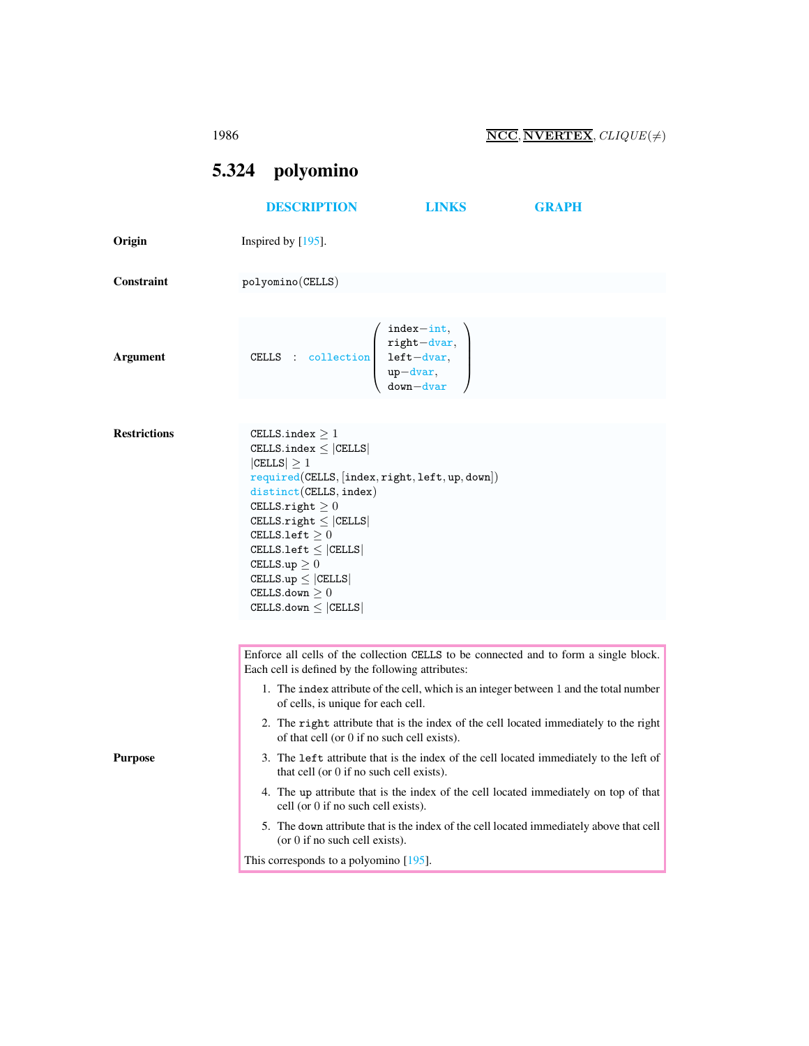<span id="page-0-0"></span>1986  $\overline{\text{NCC}}, \overline{\text{NVERTEX}}, CLIQUE(\neq)$ 

5.324 polyomino [DESCRIPTION](#page-0-0) [LINKS](#page-1-0) [GRAPH](#page-2-0) Origin Inspired by [195]. Constraint polyomino(CELLS) Argument CELLS : collection  $\sqrt{ }$  $\overline{\phantom{a}}$ index−int, right−dvar, left−dvar, up−dvar, down−dvar  $\setminus$  $\begin{matrix} \phantom{-} \end{matrix}$ Restrictions CELLS.index  $\geq 1$  $\texttt{CELLS}.\texttt{index} \leq |\texttt{CELLS}|$  $|CELLS| \geq 1$ required(CELLS, [index, right, left, up, down]) distinct(CELLS, index) CELLS.right  $\geq 0$  $\texttt{CELLS}.\texttt{right} \leq |\texttt{CELLS}|$ <code>CELLS.left  $\geq 0$ </code>  $\texttt{CELLS}.\texttt{left} \leq |\texttt{CELLS}|$ CELLS.up  $\geq 0$  $\texttt{CELLS.up} \leq |\texttt{CELLS}|$ <code>CELLS.down $\geq 0$ </code>  $\texttt{CELLS.down} \leq |\texttt{CELLS}|$ Purpose Enforce all cells of the collection CELLS to be connected and to form a single block. Each cell is defined by the following attributes: 1. The index attribute of the cell, which is an integer between 1 and the total number of cells, is unique for each cell. 2. The right attribute that is the index of the cell located immediately to the right of that cell (or 0 if no such cell exists). 3. The left attribute that is the index of the cell located immediately to the left of that cell (or 0 if no such cell exists). 4. The up attribute that is the index of the cell located immediately on top of that cell (or 0 if no such cell exists). 5. The down attribute that is the index of the cell located immediately above that cell (or 0 if no such cell exists). This corresponds to a polyomino [195].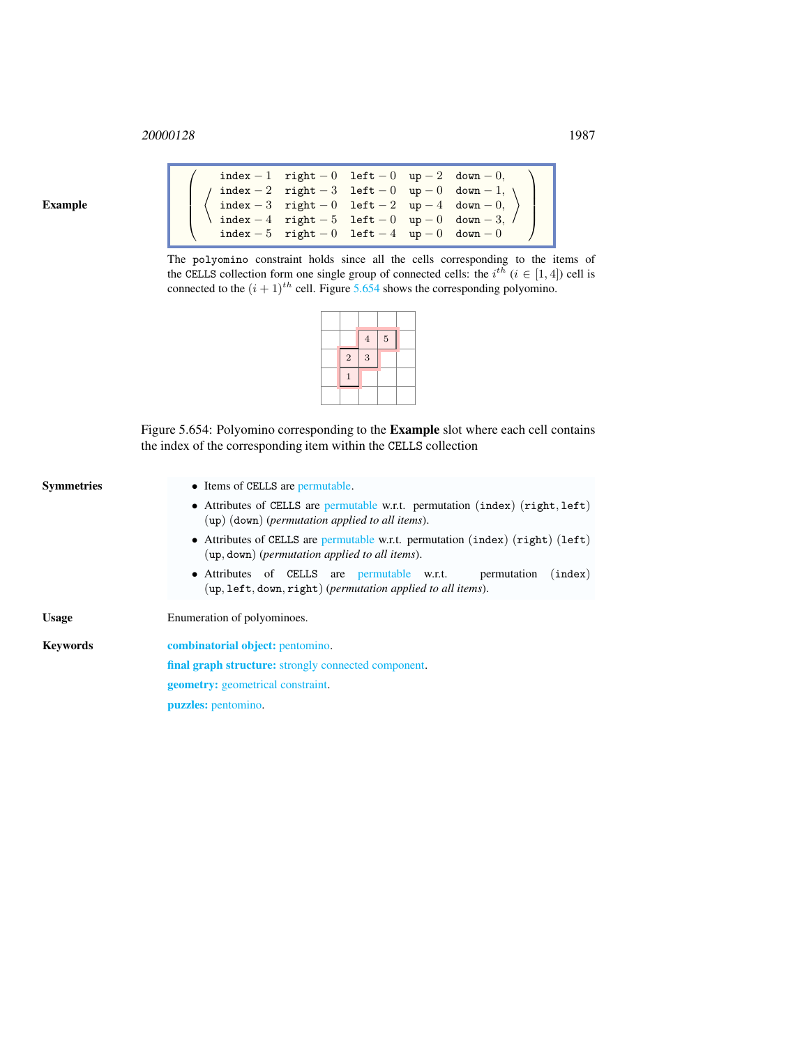## <sup>20000128</sup> 1987

Example

|  | index - 1 right - 0 left - 0 up - 2 down - 0, |  |                                                                                                                                                                                                                                                            |
|--|-----------------------------------------------|--|------------------------------------------------------------------------------------------------------------------------------------------------------------------------------------------------------------------------------------------------------------|
|  |                                               |  |                                                                                                                                                                                                                                                            |
|  |                                               |  | $\left\langle \begin{array}{ccc} \texttt{index} -2 & \texttt{right} -3 & \texttt{left} -0 & \texttt{up} -0 & \texttt{down} -1, \\ \texttt{index} -3 & \texttt{right} -0 & \texttt{left} -2 & \texttt{up} -4 & \texttt{down} -0, \end{array} \right\rangle$ |
|  |                                               |  | $\int$ index - 4 right - 5 left - 0 up - 0 down - 3, $\int$                                                                                                                                                                                                |
|  | index - 5 right - 0 left - 4 up - 0 down - 0  |  |                                                                                                                                                                                                                                                            |

The polyomino constraint holds since all the cells corresponding to the items of the CELLS collection form one single group of connected cells: the  $i^{t\overline{h}}$  ( $i \in [1, 4]$ ) cell is connected to the  $(i + 1)$ <sup>th</sup> cell. Figure [5.654](#page-1-1) shows the corresponding polyomino.

|             | $\ensuremath{4}$ | $\bf 5$ |  |
|-------------|------------------|---------|--|
| $\,2$       | $\overline{3}$   |         |  |
| $\mathbf 1$ |                  |         |  |
|             |                  |         |  |

<span id="page-1-1"></span>Figure 5.654: Polyomino corresponding to the Example slot where each cell contains the index of the corresponding item within the CELLS collection

<span id="page-1-0"></span>

| Symmetries | • Items of CELLS are permutable.                                                                                                       |  |  |  |
|------------|----------------------------------------------------------------------------------------------------------------------------------------|--|--|--|
|            | • Attributes of CELLS are permutable w.r.t. permutation $(index)$ $(right, left)$<br>$(up)$ (down) (permutation applied to all items). |  |  |  |
|            | • Attributes of CELLS are permutable w.r.t. permutation (index) (right) (left)<br>$(up, down)$ (permutation applied to all items).     |  |  |  |
|            | • Attributes of CELLS are permutable w.r.t.<br>permutation<br>(index)<br>$(up, left, down, right) (permutation applied to all items).$ |  |  |  |
| Usage      | Enumeration of polyominoes.                                                                                                            |  |  |  |
| Kevwords   | <b>combinatorial object:</b> pentomino.                                                                                                |  |  |  |
|            | <b>final graph structure:</b> strongly connected component.                                                                            |  |  |  |
|            | <b>geometry:</b> geometrical constraint.                                                                                               |  |  |  |
|            | <b>puzzles:</b> pentomino.                                                                                                             |  |  |  |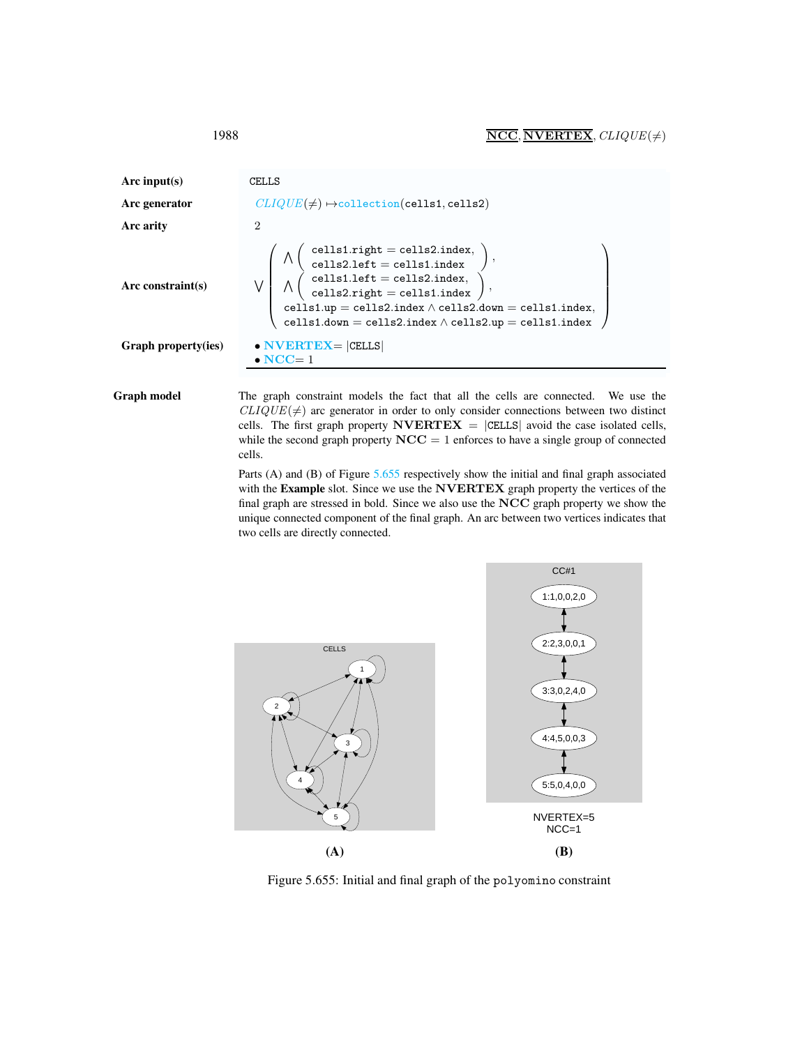| Arc input(s)         | CELLS                                                                                                                                                                                                                                                                                                                                                                                                               |  |  |  |
|----------------------|---------------------------------------------------------------------------------------------------------------------------------------------------------------------------------------------------------------------------------------------------------------------------------------------------------------------------------------------------------------------------------------------------------------------|--|--|--|
| Arc generator        | $CLIQUE(\neq) \mapsto$ collection(cells1, cells2)                                                                                                                                                                                                                                                                                                                                                                   |  |  |  |
| Arc arity            | $\mathcal{D}_{\mathcal{L}}$                                                                                                                                                                                                                                                                                                                                                                                         |  |  |  |
| Arc constraint $(s)$ | $\bigwedge \left( \begin{array}{c} \text{cells1.right} = \text{cells2.index}, \\ \text{cells2.left} = \text{cells1.index} \end{array} \right)$<br>$\left(\begin{array}{c} \text{cells1.left} = \text{cells2.index}, \ \text{cells2.right} = \text{cells1.index} \end{array}\right),$<br>cells1.up = cells2.index $\land$ cells2.down = cells1.index,<br>cells1.down = cells2.index $\land$ cells2.up = cells1.index |  |  |  |
| Graph property(ies)  | $\bullet$ NVERTEX= $ {\tt CELLS} $<br>$\bullet$ NCC= 1                                                                                                                                                                                                                                                                                                                                                              |  |  |  |
|                      |                                                                                                                                                                                                                                                                                                                                                                                                                     |  |  |  |

Graph model The graph constraint models the fact that all the cells are connected. We use the  $CLIQUE(\neq)$  arc generator in order to only consider connections between two distinct cells. The first graph property  $\text{NVERTEX} = |\text{CELLS}|$  avoid the case isolated cells, while the second graph property  $NCC = 1$  enforces to have a single group of connected cells.

> Parts (A) and (B) of Figure [5.655](#page-2-1) respectively show the initial and final graph associated with the Example slot. Since we use the NVERTEX graph property the vertices of the final graph are stressed in bold. Since we also use the NCC graph property we show the unique connected component of the final graph. An arc between two vertices indicates that two cells are directly connected.



<span id="page-2-1"></span>Figure 5.655: Initial and final graph of the polyomino constraint

<span id="page-2-0"></span>